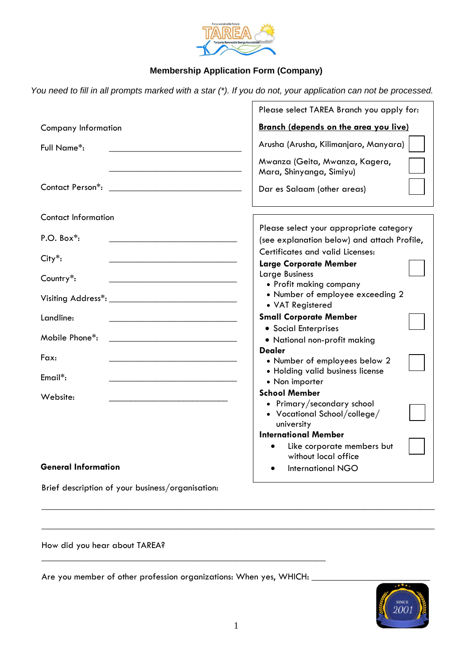

## **Membership Application Form (Company)**

You need to fill in all prompts marked with a star (\*). If you do not, your application can not be processed.

|                                                                                                                                          | Please select TAREA Branch you apply for:                                                        |
|------------------------------------------------------------------------------------------------------------------------------------------|--------------------------------------------------------------------------------------------------|
| <b>Company Information</b>                                                                                                               | <b>Branch (depends on the area you live)</b>                                                     |
| Full Name*:                                                                                                                              | Arusha (Arusha, Kilimanjaro, Manyara)                                                            |
|                                                                                                                                          | Mwanza (Geita, Mwanza, Kagera,<br>Mara, Shinyanga, Simiyu)                                       |
| Contact Person*:<br><u> 1980 - Johann Barn, mars ar breithinn ar breithinn ar breithinn ar breithinn ar breithinn ar breithinn ar br</u> | Dar es Salaam (other areas)                                                                      |
| <b>Contact Information</b>                                                                                                               |                                                                                                  |
| $P.O. Box^*$ :                                                                                                                           | Please select your appropriate category<br>(see explanation below) and attach Profile,           |
| City*:                                                                                                                                   | Certificates and valid Licenses:<br><b>Large Corporate Member</b>                                |
| Country*:                                                                                                                                | Large Business<br>• Profit making company                                                        |
|                                                                                                                                          | • Number of employee exceeding 2<br>• VAT Registered                                             |
| Landline:                                                                                                                                | <b>Small Corporate Member</b>                                                                    |
| Mobile Phone*:                                                                                                                           | • Social Enterprises<br>• National non-profit making                                             |
| Fax:                                                                                                                                     | Dealer<br>• Number of employees below 2<br>• Holding valid business license                      |
| Email*:                                                                                                                                  | • Non importer                                                                                   |
| Website:                                                                                                                                 | <b>School Member</b><br>• Primary/secondary school<br>• Vocational School/college/<br>university |
|                                                                                                                                          | <b>International Member</b><br>Like corporate members but<br>$\bullet$                           |
| <b>General Information</b>                                                                                                               | without local office<br><b>International NGO</b>                                                 |
| Brief description of your business/organisation:                                                                                         |                                                                                                  |

How did you hear about TAREA?

Are you member of other profession organizations: When yes, WHICH: \_\_\_\_\_\_\_\_\_\_\_\_\_\_

 $\_$  , and the set of the set of the set of the set of the set of the set of the set of the set of the set of the set of the set of the set of the set of the set of the set of the set of the set of the set of the set of th



 $\_$  , and the set of the set of the set of the set of the set of the set of the set of the set of the set of the set of the set of the set of the set of the set of the set of the set of the set of the set of the set of th

 $\_$  , and the set of the set of the set of the set of the set of the set of the set of the set of the set of the set of the set of the set of the set of the set of the set of the set of the set of the set of the set of th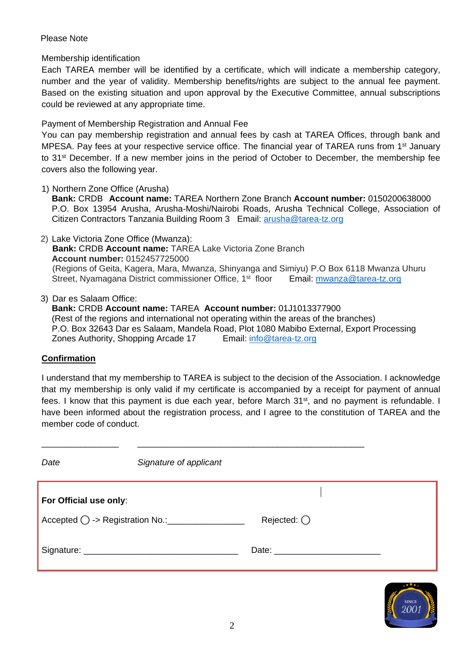## Please Note

Membership identification

Each TAREA member will be identified by a certificate, which will indicate a membership category, number and the year of validity. Membership benefits/rights are subject to the annual fee payment. Based on the existing situation and upon approval by the Executive Committee, annual subscriptions could be reviewed at any appropriate time.

Payment of Membership Registration and Annual Fee

You can pay membership registration and annual fees by cash at TAREA Offices, through bank and MPESA. Pay fees at your respective service office. The financial year of TAREA runs from 1<sup>st</sup> January to 31st December. If a new member joins in the period of October to December, the membership fee covers also the following year.

1) Northern Zone Office (Arusha)

**Bank:** CRDB **Account name:** TAREA Northern Zone Branch **Account number:** 0150200638000 P.O. Box 13954 Arusha, Arusha-Moshi/Nairobi Roads, Arusha Technical College, Association of Citizen Contractors Tanzania Building Room 3 Email: [arusha@tarea-tz.org](mailto:arusha@tarea-tz.org)

2) Lake Victoria Zone Office (Mwanza): **Bank:** CRDB **Account name:** TAREA Lake Victoria Zone Branch **Account number:** 0152457725000 (Regions of Geita, Kagera, Mara, Mwanza, Shinyanga and Simiyu) P.O Box 6118 Mwanza Uhuru Street, Nyamagana District commissioner Office, 1 Email: [mwanza@tarea-tz.org](mailto:mwanza@tarea-tz.org)

3) Dar es Salaam Office:

**Bank:** CRDB **Account name:** TAREA **Account number:** 01J1013377900 (Rest of the regions and international not operating within the areas of the branches) P.O. Box 32643 Dar es Salaam, Mandela Road, Plot 1080 Mabibo External, Export Processing Zones Authority, Shopping Arcade 17 Email: [info@tarea-tz.org](mailto:info@tarea-tz.org)

## **Confirmation**

I understand that my membership to TAREA is subject to the decision of the Association. I acknowledge that my membership is only valid if my certificate is accompanied by a receipt for payment of annual fees. I know that this payment is due each year, before March 31<sup>st</sup>, and no payment is refundable. I have been informed about the registration process, and I agree to the constitution of TAREA and the member code of conduct.

\_\_\_\_\_\_\_\_\_\_\_\_\_\_\_\_ \_\_\_\_\_\_\_\_\_\_\_\_\_\_\_\_\_\_\_\_\_\_\_\_\_\_\_\_\_\_\_\_\_\_\_\_\_\_\_\_\_\_\_\_\_\_\_

| Date                   | Signature of applicant |                     |  |
|------------------------|------------------------|---------------------|--|
| For Official use only: |                        |                     |  |
|                        |                        | Rejected: $\bigcap$ |  |
|                        |                        |                     |  |

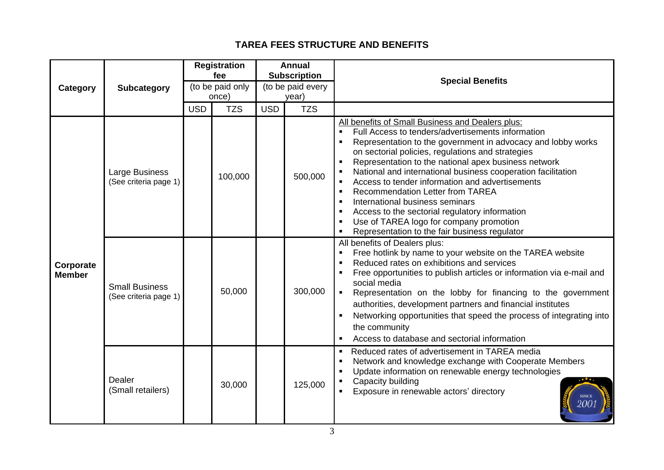## **TAREA FEES STRUCTURE AND BENEFITS**

| <b>Category</b>            | <b>Subcategory</b>                             | <b>Registration</b><br>fee<br>(to be paid only |            | <b>Annual</b><br><b>Subscription</b><br>(to be paid every |            | <b>Special Benefits</b>                                                                                                                                                                                                                                                                                                                                                                                                                                                                                                                                                                                                                          |  |
|----------------------------|------------------------------------------------|------------------------------------------------|------------|-----------------------------------------------------------|------------|--------------------------------------------------------------------------------------------------------------------------------------------------------------------------------------------------------------------------------------------------------------------------------------------------------------------------------------------------------------------------------------------------------------------------------------------------------------------------------------------------------------------------------------------------------------------------------------------------------------------------------------------------|--|
|                            |                                                |                                                | once)      |                                                           | year)      |                                                                                                                                                                                                                                                                                                                                                                                                                                                                                                                                                                                                                                                  |  |
|                            |                                                | <b>USD</b>                                     | <b>TZS</b> | <b>USD</b>                                                | <b>TZS</b> |                                                                                                                                                                                                                                                                                                                                                                                                                                                                                                                                                                                                                                                  |  |
| Corporate<br><b>Member</b> | Large Business<br>(See criteria page 1)        |                                                | 100,000    |                                                           | 500,000    | All benefits of Small Business and Dealers plus:<br>Full Access to tenders/advertisements information<br>Representation to the government in advocacy and lobby works<br>on sectorial policies, regulations and strategies<br>Representation to the national apex business network<br>National and international business cooperation facilitation<br>Access to tender information and advertisements<br><b>Recommendation Letter from TAREA</b><br>International business seminars<br>л<br>Access to the sectorial regulatory information<br>л<br>Use of TAREA logo for company promotion<br>х<br>Representation to the fair business regulator |  |
|                            | <b>Small Business</b><br>(See criteria page 1) |                                                | 50,000     |                                                           | 300,000    | All benefits of Dealers plus:<br>Free hotlink by name to your website on the TAREA website<br>Reduced rates on exhibitions and services<br>×<br>Free opportunities to publish articles or information via e-mail and<br>social media<br>Representation on the lobby for financing to the government<br>authorities, development partners and financial institutes<br>Networking opportunities that speed the process of integrating into<br>the community<br>Access to database and sectorial information                                                                                                                                        |  |
|                            | Dealer<br>(Small retailers)                    |                                                | 30,000     |                                                           | 125,000    | Reduced rates of advertisement in TAREA media<br>$\blacksquare$<br>Network and knowledge exchange with Cooperate Members<br>×<br>Update information on renewable energy technologies<br>х<br>Capacity building<br>Exposure in renewable actors' directory                                                                                                                                                                                                                                                                                                                                                                                        |  |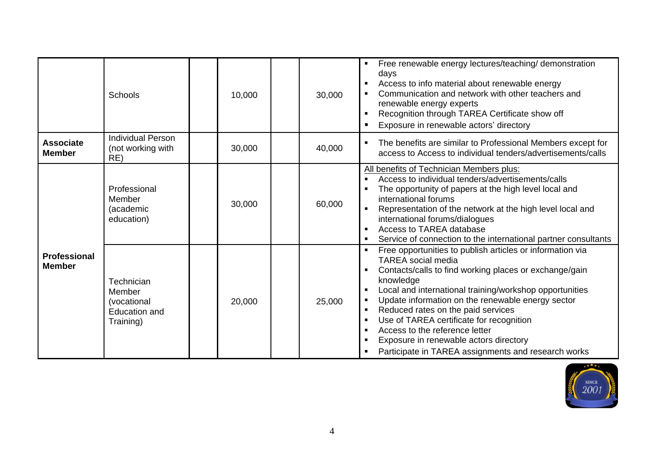|                                      | <b>Schools</b>                                                           | 10,000 | 30,000 | Free renewable energy lectures/teaching/ demonstration<br>$\blacksquare$<br>days<br>Access to info material about renewable energy<br>Communication and network with other teachers and<br>$\blacksquare$<br>renewable energy experts<br>Recognition through TAREA Certificate show off<br>$\blacksquare$<br>Exposure in renewable actors' directory<br>$\blacksquare$                                                                                                                                                                                                                            |
|--------------------------------------|--------------------------------------------------------------------------|--------|--------|---------------------------------------------------------------------------------------------------------------------------------------------------------------------------------------------------------------------------------------------------------------------------------------------------------------------------------------------------------------------------------------------------------------------------------------------------------------------------------------------------------------------------------------------------------------------------------------------------|
| <b>Associate</b><br><b>Member</b>    | <b>Individual Person</b><br>(not working with<br>RE)                     | 30,000 | 40,000 | The benefits are similar to Professional Members except for<br>$\blacksquare$<br>access to Access to individual tenders/advertisements/calls                                                                                                                                                                                                                                                                                                                                                                                                                                                      |
| <b>Professional</b><br><b>Member</b> | Professional<br>Member<br>(academic<br>education)                        | 30,000 | 60,000 | All benefits of Technician Members plus:<br>Access to individual tenders/advertisements/calls<br>$\blacksquare$<br>The opportunity of papers at the high level local and<br>international forums<br>Representation of the network at the high level local and<br>international forums/dialogues<br>Access to TAREA database<br>Service of connection to the international partner consultants<br>$\blacksquare$                                                                                                                                                                                   |
|                                      | Technician<br>Member<br>(vocational<br><b>Education and</b><br>Training) | 20,000 | 25,000 | Free opportunities to publish articles or information via<br><b>TAREA</b> social media<br>Contacts/calls to find working places or exchange/gain<br>knowledge<br>Local and international training/workshop opportunities<br>п<br>Update information on the renewable energy sector<br>$\blacksquare$<br>Reduced rates on the paid services<br>$\blacksquare$<br>Use of TAREA certificate for recognition<br>$\blacksquare$<br>Access to the reference letter<br>$\blacksquare$<br>Exposure in renewable actors directory<br>$\blacksquare$<br>Participate in TAREA assignments and research works |